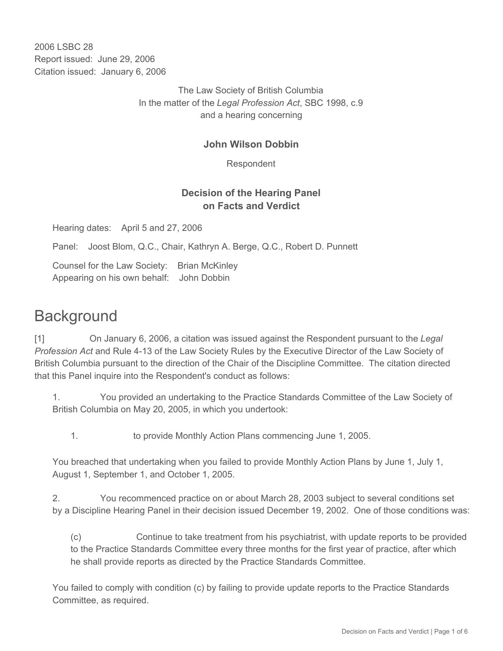2006 LSBC 28 Report issued: June 29, 2006 Citation issued: January 6, 2006

> The Law Society of British Columbia In the matter of the *Legal Profession Act*, SBC 1998, c.9 and a hearing concerning

### **John Wilson Dobbin**

Respondent

## **Decision of the Hearing Panel on Facts and Verdict**

Hearing dates: April 5 and 27, 2006

Panel: Joost Blom, Q.C., Chair, Kathryn A. Berge, Q.C., Robert D. Punnett

Counsel for the Law Society: Brian McKinley Appearing on his own behalf: John Dobbin

# **Background**

[1] On January 6, 2006, a citation was issued against the Respondent pursuant to the *Legal Profession Act* and Rule 4-13 of the Law Society Rules by the Executive Director of the Law Society of British Columbia pursuant to the direction of the Chair of the Discipline Committee. The citation directed that this Panel inquire into the Respondent's conduct as follows:

1. You provided an undertaking to the Practice Standards Committee of the Law Society of British Columbia on May 20, 2005, in which you undertook:

1. to provide Monthly Action Plans commencing June 1, 2005.

You breached that undertaking when you failed to provide Monthly Action Plans by June 1, July 1, August 1, September 1, and October 1, 2005.

2. You recommenced practice on or about March 28, 2003 subject to several conditions set by a Discipline Hearing Panel in their decision issued December 19, 2002. One of those conditions was:

(c) Continue to take treatment from his psychiatrist, with update reports to be provided to the Practice Standards Committee every three months for the first year of practice, after which he shall provide reports as directed by the Practice Standards Committee.

You failed to comply with condition (c) by failing to provide update reports to the Practice Standards Committee, as required.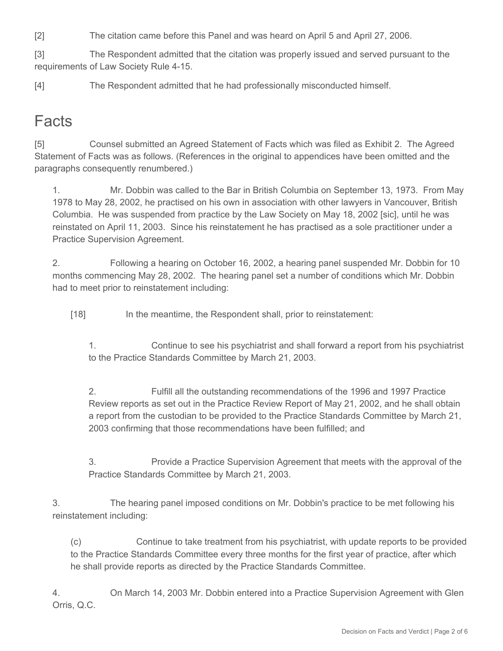[2] The citation came before this Panel and was heard on April 5 and April 27, 2006.

[3] The Respondent admitted that the citation was properly issued and served pursuant to the requirements of Law Society Rule 4-15.

[4] The Respondent admitted that he had professionally misconducted himself.

# **Facts**

[5] Counsel submitted an Agreed Statement of Facts which was filed as Exhibit 2. The Agreed Statement of Facts was as follows. (References in the original to appendices have been omitted and the paragraphs consequently renumbered.)

1. Mr. Dobbin was called to the Bar in British Columbia on September 13, 1973. From May 1978 to May 28, 2002, he practised on his own in association with other lawyers in Vancouver, British Columbia. He was suspended from practice by the Law Society on May 18, 2002 [sic], until he was reinstated on April 11, 2003. Since his reinstatement he has practised as a sole practitioner under a Practice Supervision Agreement.

2. Following a hearing on October 16, 2002, a hearing panel suspended Mr. Dobbin for 10 months commencing May 28, 2002. The hearing panel set a number of conditions which Mr. Dobbin had to meet prior to reinstatement including:

[18] In the meantime, the Respondent shall, prior to reinstatement:

1. Continue to see his psychiatrist and shall forward a report from his psychiatrist to the Practice Standards Committee by March 21, 2003.

2. Fulfill all the outstanding recommendations of the 1996 and 1997 Practice Review reports as set out in the Practice Review Report of May 21, 2002, and he shall obtain a report from the custodian to be provided to the Practice Standards Committee by March 21, 2003 confirming that those recommendations have been fulfilled; and

3. Provide a Practice Supervision Agreement that meets with the approval of the Practice Standards Committee by March 21, 2003.

3. The hearing panel imposed conditions on Mr. Dobbin's practice to be met following his reinstatement including:

(c) Continue to take treatment from his psychiatrist, with update reports to be provided to the Practice Standards Committee every three months for the first year of practice, after which he shall provide reports as directed by the Practice Standards Committee.

4. On March 14, 2003 Mr. Dobbin entered into a Practice Supervision Agreement with Glen Orris, Q.C.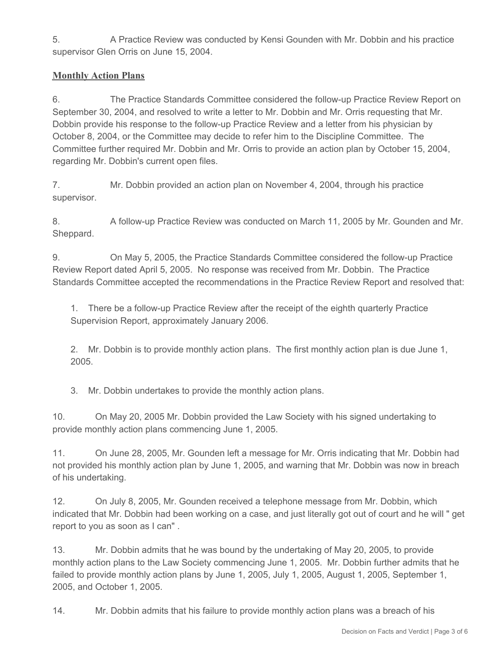5. A Practice Review was conducted by Kensi Gounden with Mr. Dobbin and his practice supervisor Glen Orris on June 15, 2004.

## **Monthly Action Plans**

6. The Practice Standards Committee considered the follow-up Practice Review Report on September 30, 2004, and resolved to write a letter to Mr. Dobbin and Mr. Orris requesting that Mr. Dobbin provide his response to the follow-up Practice Review and a letter from his physician by October 8, 2004, or the Committee may decide to refer him to the Discipline Committee. The Committee further required Mr. Dobbin and Mr. Orris to provide an action plan by October 15, 2004, regarding Mr. Dobbin's current open files.

7. Mr. Dobbin provided an action plan on November 4, 2004, through his practice supervisor.

8. A follow-up Practice Review was conducted on March 11, 2005 by Mr. Gounden and Mr. Sheppard.

9. On May 5, 2005, the Practice Standards Committee considered the follow-up Practice Review Report dated April 5, 2005. No response was received from Mr. Dobbin. The Practice Standards Committee accepted the recommendations in the Practice Review Report and resolved that:

1. There be a follow-up Practice Review after the receipt of the eighth quarterly Practice Supervision Report, approximately January 2006.

2. Mr. Dobbin is to provide monthly action plans. The first monthly action plan is due June 1, 2005.

3. Mr. Dobbin undertakes to provide the monthly action plans.

10. On May 20, 2005 Mr. Dobbin provided the Law Society with his signed undertaking to provide monthly action plans commencing June 1, 2005.

11. On June 28, 2005, Mr. Gounden left a message for Mr. Orris indicating that Mr. Dobbin had not provided his monthly action plan by June 1, 2005, and warning that Mr. Dobbin was now in breach of his undertaking.

12. On July 8, 2005, Mr. Gounden received a telephone message from Mr. Dobbin, which indicated that Mr. Dobbin had been working on a case, and just literally got out of court and he will " get report to you as soon as I can" .

13. Mr. Dobbin admits that he was bound by the undertaking of May 20, 2005, to provide monthly action plans to the Law Society commencing June 1, 2005. Mr. Dobbin further admits that he failed to provide monthly action plans by June 1, 2005, July 1, 2005, August 1, 2005, September 1, 2005, and October 1, 2005.

14. Mr. Dobbin admits that his failure to provide monthly action plans was a breach of his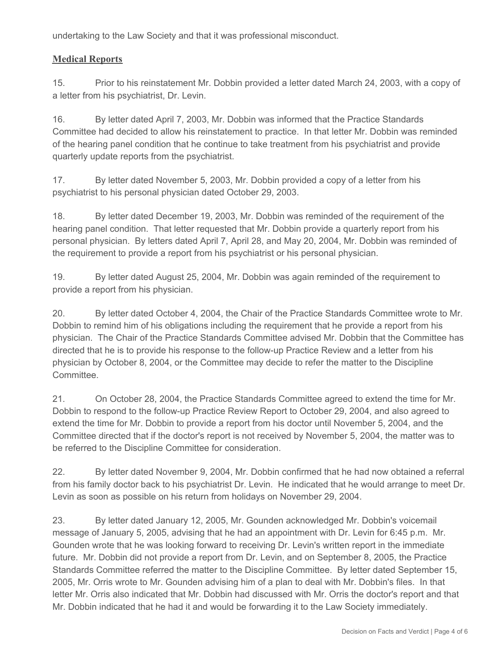undertaking to the Law Society and that it was professional misconduct.

#### **Medical Reports**

15. Prior to his reinstatement Mr. Dobbin provided a letter dated March 24, 2003, with a copy of a letter from his psychiatrist, Dr. Levin.

16. By letter dated April 7, 2003, Mr. Dobbin was informed that the Practice Standards Committee had decided to allow his reinstatement to practice. In that letter Mr. Dobbin was reminded of the hearing panel condition that he continue to take treatment from his psychiatrist and provide quarterly update reports from the psychiatrist.

17. By letter dated November 5, 2003, Mr. Dobbin provided a copy of a letter from his psychiatrist to his personal physician dated October 29, 2003.

18. By letter dated December 19, 2003, Mr. Dobbin was reminded of the requirement of the hearing panel condition. That letter requested that Mr. Dobbin provide a quarterly report from his personal physician. By letters dated April 7, April 28, and May 20, 2004, Mr. Dobbin was reminded of the requirement to provide a report from his psychiatrist or his personal physician.

19. By letter dated August 25, 2004, Mr. Dobbin was again reminded of the requirement to provide a report from his physician.

20. By letter dated October 4, 2004, the Chair of the Practice Standards Committee wrote to Mr. Dobbin to remind him of his obligations including the requirement that he provide a report from his physician. The Chair of the Practice Standards Committee advised Mr. Dobbin that the Committee has directed that he is to provide his response to the follow-up Practice Review and a letter from his physician by October 8, 2004, or the Committee may decide to refer the matter to the Discipline **Committee.** 

21. On October 28, 2004, the Practice Standards Committee agreed to extend the time for Mr. Dobbin to respond to the follow-up Practice Review Report to October 29, 2004, and also agreed to extend the time for Mr. Dobbin to provide a report from his doctor until November 5, 2004, and the Committee directed that if the doctor's report is not received by November 5, 2004, the matter was to be referred to the Discipline Committee for consideration.

22. By letter dated November 9, 2004, Mr. Dobbin confirmed that he had now obtained a referral from his family doctor back to his psychiatrist Dr. Levin. He indicated that he would arrange to meet Dr. Levin as soon as possible on his return from holidays on November 29, 2004.

23. By letter dated January 12, 2005, Mr. Gounden acknowledged Mr. Dobbin's voicemail message of January 5, 2005, advising that he had an appointment with Dr. Levin for 6:45 p.m. Mr. Gounden wrote that he was looking forward to receiving Dr. Levin's written report in the immediate future. Mr. Dobbin did not provide a report from Dr. Levin, and on September 8, 2005, the Practice Standards Committee referred the matter to the Discipline Committee. By letter dated September 15, 2005, Mr. Orris wrote to Mr. Gounden advising him of a plan to deal with Mr. Dobbin's files. In that letter Mr. Orris also indicated that Mr. Dobbin had discussed with Mr. Orris the doctor's report and that Mr. Dobbin indicated that he had it and would be forwarding it to the Law Society immediately.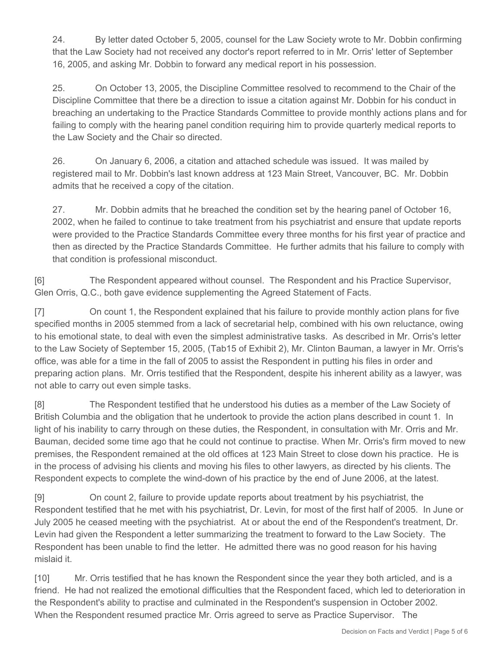24. By letter dated October 5, 2005, counsel for the Law Society wrote to Mr. Dobbin confirming that the Law Society had not received any doctor's report referred to in Mr. Orris' letter of September 16, 2005, and asking Mr. Dobbin to forward any medical report in his possession.

25. On October 13, 2005, the Discipline Committee resolved to recommend to the Chair of the Discipline Committee that there be a direction to issue a citation against Mr. Dobbin for his conduct in breaching an undertaking to the Practice Standards Committee to provide monthly actions plans and for failing to comply with the hearing panel condition requiring him to provide quarterly medical reports to the Law Society and the Chair so directed.

26. On January 6, 2006, a citation and attached schedule was issued. It was mailed by registered mail to Mr. Dobbin's last known address at 123 Main Street, Vancouver, BC. Mr. Dobbin admits that he received a copy of the citation.

27. Mr. Dobbin admits that he breached the condition set by the hearing panel of October 16, 2002, when he failed to continue to take treatment from his psychiatrist and ensure that update reports were provided to the Practice Standards Committee every three months for his first year of practice and then as directed by the Practice Standards Committee. He further admits that his failure to comply with that condition is professional misconduct.

[6] The Respondent appeared without counsel. The Respondent and his Practice Supervisor, Glen Orris, Q.C., both gave evidence supplementing the Agreed Statement of Facts.

[7] On count 1, the Respondent explained that his failure to provide monthly action plans for five specified months in 2005 stemmed from a lack of secretarial help, combined with his own reluctance, owing to his emotional state, to deal with even the simplest administrative tasks. As described in Mr. Orris's letter to the Law Society of September 15, 2005, (Tab15 of Exhibit 2), Mr. Clinton Bauman, a lawyer in Mr. Orris's office, was able for a time in the fall of 2005 to assist the Respondent in putting his files in order and preparing action plans. Mr. Orris testified that the Respondent, despite his inherent ability as a lawyer, was not able to carry out even simple tasks.

[8] The Respondent testified that he understood his duties as a member of the Law Society of British Columbia and the obligation that he undertook to provide the action plans described in count 1. In light of his inability to carry through on these duties, the Respondent, in consultation with Mr. Orris and Mr. Bauman, decided some time ago that he could not continue to practise. When Mr. Orris's firm moved to new premises, the Respondent remained at the old offices at 123 Main Street to close down his practice. He is in the process of advising his clients and moving his files to other lawyers, as directed by his clients. The Respondent expects to complete the wind-down of his practice by the end of June 2006, at the latest.

[9] On count 2, failure to provide update reports about treatment by his psychiatrist, the Respondent testified that he met with his psychiatrist, Dr. Levin, for most of the first half of 2005. In June or July 2005 he ceased meeting with the psychiatrist. At or about the end of the Respondent's treatment, Dr. Levin had given the Respondent a letter summarizing the treatment to forward to the Law Society. The Respondent has been unable to find the letter. He admitted there was no good reason for his having mislaid it.

[10] Mr. Orris testified that he has known the Respondent since the year they both articled, and is a friend. He had not realized the emotional difficulties that the Respondent faced, which led to deterioration in the Respondent's ability to practise and culminated in the Respondent's suspension in October 2002. When the Respondent resumed practice Mr. Orris agreed to serve as Practice Supervisor. The